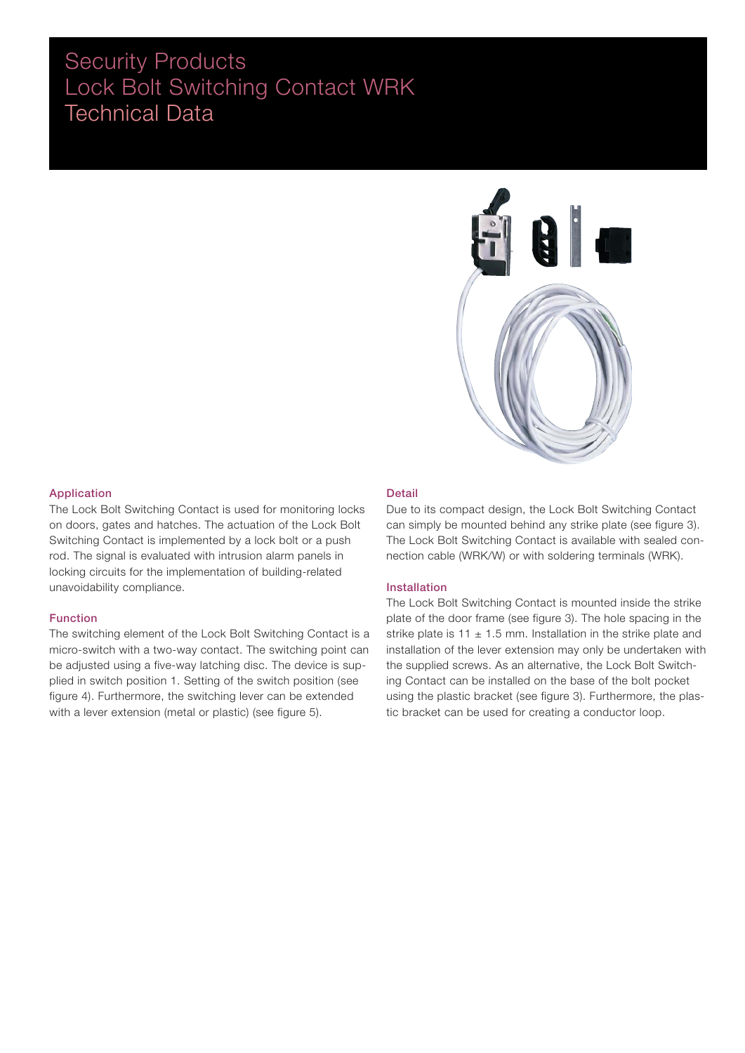### Security Products Lock Bolt Switching Contact WRK Technical Data



### Application

The Lock Bolt Switching Contact is used for monitoring locks on doors, gates and hatches. The actuation of the Lock Bolt Switching Contact is implemented by a lock bolt or a push rod. The signal is evaluated with intrusion alarm panels in locking circuits for the implementation of building-related unavoidability compliance.

### Function

The switching element of the Lock Bolt Switching Contact is a micro-switch with a two-way contact. The switching point can be adjusted using a five-way latching disc. The device is supplied in switch position 1. Setting of the switch position (see figure 4). Furthermore, the switching lever can be extended with a lever extension (metal or plastic) (see figure 5).

#### Detail

Due to its compact design, the Lock Bolt Switching Contact can simply be mounted behind any strike plate (see figure 3). The Lock Bolt Switching Contact is available with sealed connection cable (WRK/W) or with soldering terminals (WRK).

### Installation

The Lock Bolt Switching Contact is mounted inside the strike plate of the door frame (see figure 3). The hole spacing in the strike plate is 11  $\pm$  1.5 mm. Installation in the strike plate and installation of the lever extension may only be undertaken with the supplied screws. As an alternative, the Lock Bolt Switching Contact can be installed on the base of the bolt pocket using the plastic bracket (see figure 3). Furthermore, the plastic bracket can be used for creating a conductor loop.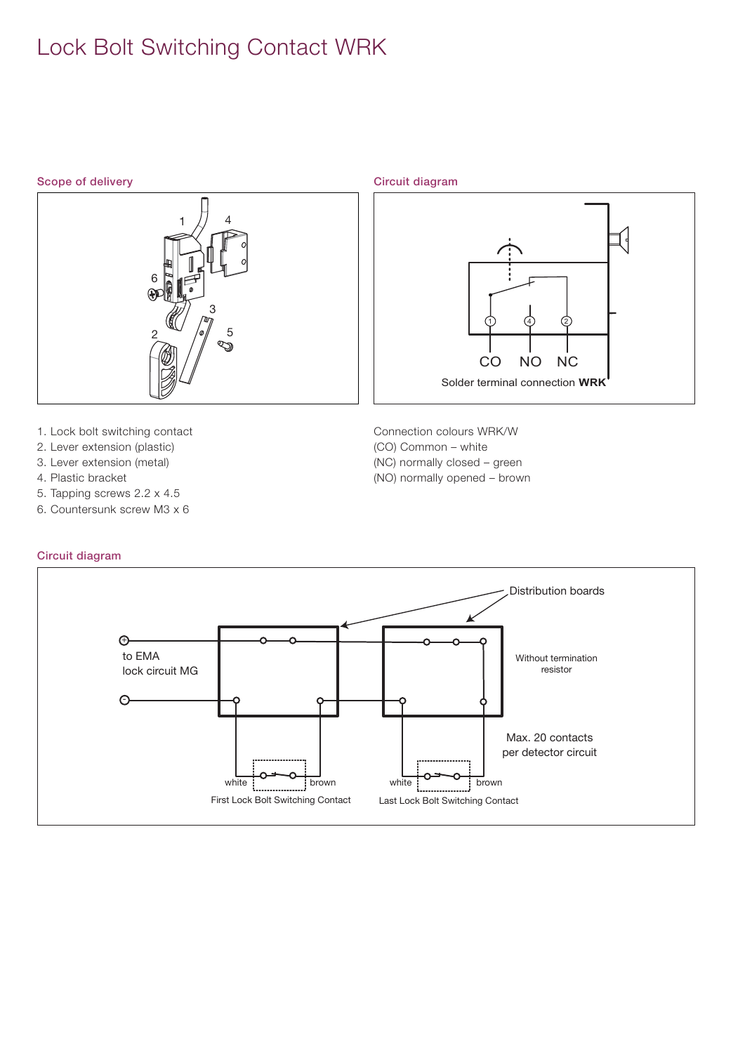# Lock Bolt Switching Contact WRK

### Scope of delivery example of the control of the Circuit diagram



- 1. Lock bolt switching contact
- 2. Lever extension (plastic)
- 3. Lever extension (metal)
- 4. Plastic bracket
- 5. Tapping screws 2.2 x 4.5
- 6. Countersunk screw M3 x 6

### Circuit diagram

# 1 (4) 2 CO NO NC Solder terminal connection **WRK**

- Connection colours WRK/W (CO) Common – white (NC) normally closed – green
- (NO) normally opened brown

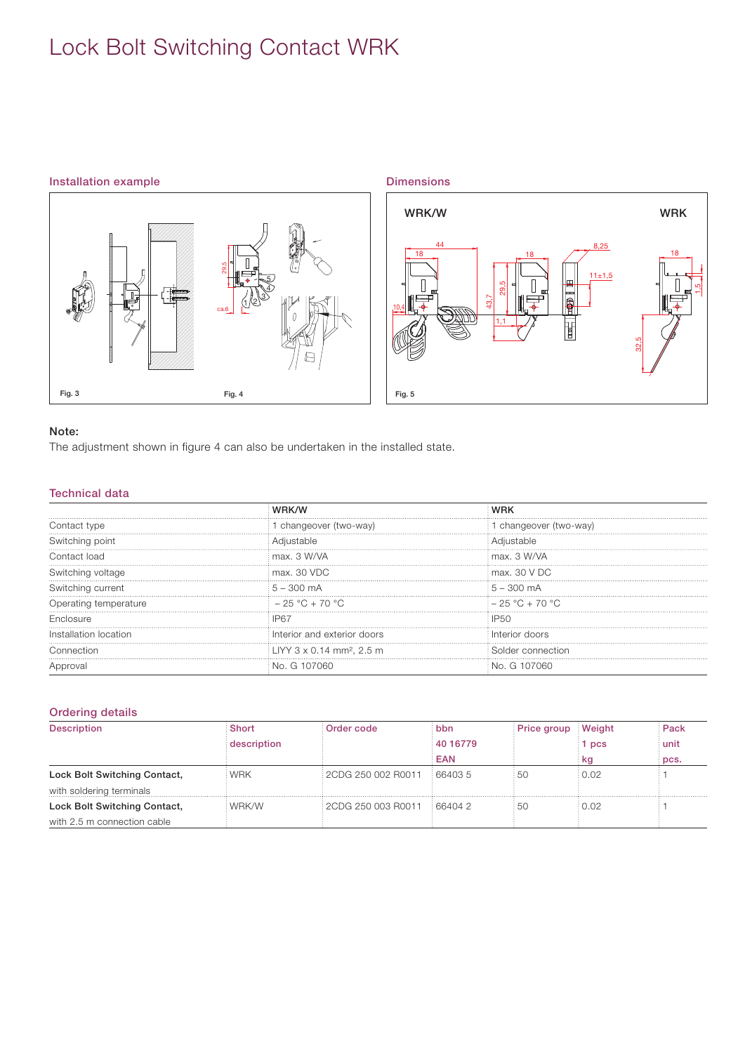# Lock Bolt Switching Contact WRK

### Installation example



Dimensions WRK/W WRK 8,25 44  $18 \t\t\t 18 \t\t 18 \t\t 18$ 18  $11±1,5$  $\frac{29.5}{1,1}$ 1,5 一个时间 43,7 10,4 ]<br>B 32,5 Fig. 5

### Note:

The adjustment shown in figure 4 can also be undertaken in the installed state.

### Technical data

|                       |                                             | VRK                             |  |
|-----------------------|---------------------------------------------|---------------------------------|--|
| Contact type          | changeover (two-way)                        | changeover (two-way)            |  |
| Switching point       | Adiustable                                  | diustable                       |  |
| Contact load          | max. 3 W/VA                                 | max. 3 W/VA                     |  |
| Switching voltage     | max, 30 VDC                                 | $\mathop{\text{max}}$ . 30 V DC |  |
| Switching current     | $\frac{1}{2}$ 5 – 300 mA                    | $\pm 5 - 300 \text{ mA}$        |  |
| Operating temperature | $-25 °C + 70 °C$                            | $-25 °C + 70 °C$                |  |
| Enclosure             |                                             | IP50                            |  |
| nstallation location  | Interior and exterior doors                 | Interior doors                  |  |
| Connection            | $\pm$ LIYY 3 x 0.14 mm <sup>2</sup> , 2.5 m | Solder connection               |  |
|                       | nan<br>No. G 107                            | NA ( <del>1</del> 107060        |  |

### Ordering details

| <b>Description</b>           | <b>Short</b> | Order code         | bbn      | Price group Weight |       | Pack   |
|------------------------------|--------------|--------------------|----------|--------------------|-------|--------|
|                              | description  |                    | 40 16779 |                    | 1 pcs | i unit |
|                              |              |                    | EAN      |                    | kq    | pcs.   |
| Lock Bolt Switching Contact, | WRK          | 2CDG 250 002 R0011 | 664035   | : 50               | 0.02  |        |
| with soldering terminals     |              |                    |          |                    |       |        |
| Lock Bolt Switching Contact, | : WRK/W      | 2CDG 250 003 R0011 | 66404 2  | : 50               | 0.02  |        |
| with 2.5 m connection cable  |              |                    |          |                    |       |        |